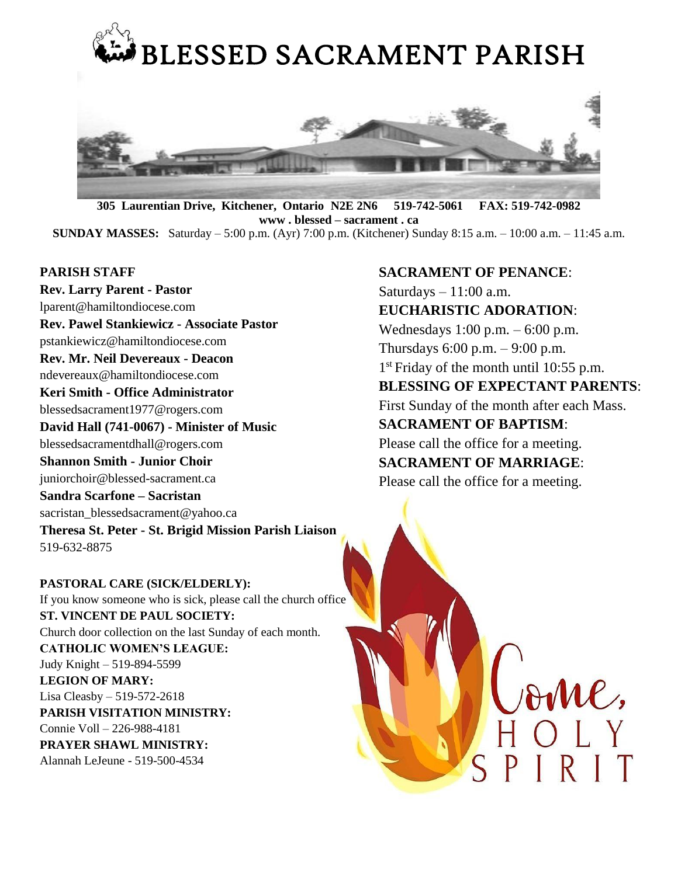

**305 Laurentian Drive, Kitchener, Ontario N2E 2N6 519-742-5061 FAX: 519-742-0982 www . blessed – sacrament . ca SUNDAY MASSES:** Saturday – 5:00 p.m. (Ayr) 7:00 p.m. (Kitchener) Sunday 8:15 a.m. – 10:00 a.m. – 11:45 a.m.

#### **PARISH STAFF**

**Rev. Larry Parent - Pastor** lparent@hamiltondiocese.com **Rev. Pawel Stankiewicz - Associate Pastor** pstankiewicz@hamiltondiocese.com **Rev. Mr. Neil Devereaux - Deacon** ndevereaux@hamiltondiocese.com **Keri Smith - Office Administrator**  blessedsacrament1977@rogers.com **David Hall (741-0067) - Minister of Music** blessedsacramentdhall@rogers.com **Shannon Smith - Junior Choir** juniorchoir@blessed-sacrament.ca **Sandra Scarfone – Sacristan** [sacristan\\_blessedsacrament@yahoo.ca](mailto:sacristan_blessedsacrament@yahoo.ca) **Theresa St. Peter - St. Brigid Mission Parish Liaison**  519-632-8875

**PASTORAL CARE (SICK/ELDERLY):**  If you know someone who is sick, please call the church office **ST. VINCENT DE PAUL SOCIETY:**  Church door collection on the last Sunday of each month. **CATHOLIC WOMEN'S LEAGUE:** Judy Knight – 519-894-5599 **LEGION OF MARY:** Lisa Cleasby – 519-572-2618 **PARISH VISITATION MINISTRY:** Connie Voll – 226-988-4181 **PRAYER SHAWL MINISTRY:** Alannah LeJeune - 519-500-4534

## **SACRAMENT OF PENANCE**:

Saturdays  $-11:00$  a.m. **EUCHARISTIC ADORATION**: Wednesdays 1:00 p.m. – 6:00 p.m. Thursdays 6:00 p.m. – 9:00 p.m. 1 st Friday of the month until 10:55 p.m. **BLESSING OF EXPECTANT PARENTS**: First Sunday of the month after each Mass. **SACRAMENT OF BAPTISM**: Please call the office for a meeting.

**SACRAMENT OF MARRIAGE**:

Please call the office for a meeting.

AMC,

PIRIT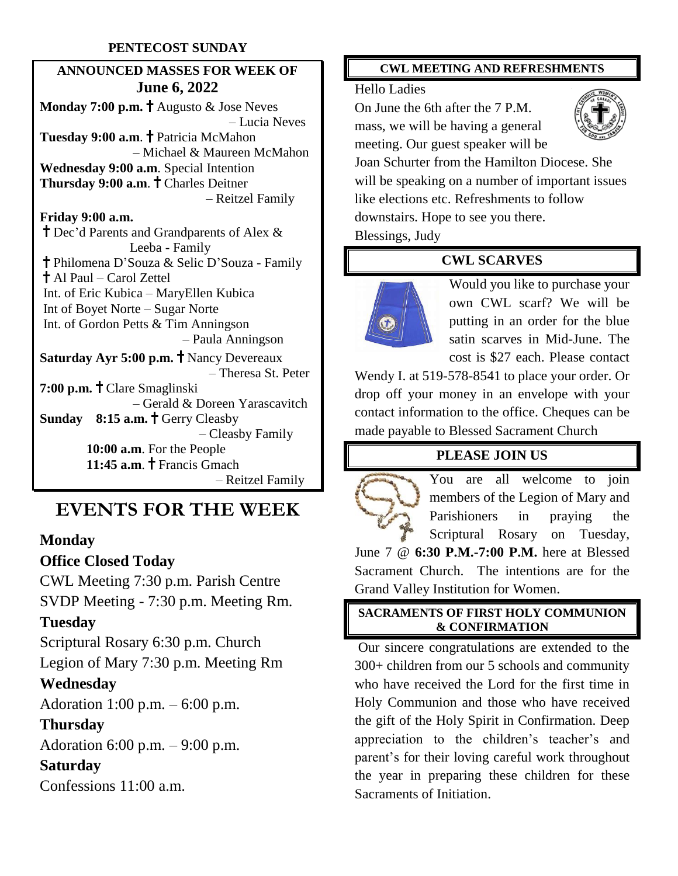## **PENTECOST SUNDAY**

# **ANNOUNCED MASSES FOR WEEK OF June 6, 2022**

**Monday 7:00 p.m.** † Augusto & Jose Neves – Lucia Neves **Tuesday 9:00 a.m. † Patricia McMahon**  – Michael & Maureen McMahon **Wednesday 9:00 a.m**. Special Intention **Thursday 9:00 a.m.** † Charles Deitner – Reitzel Family **Friday 9:00 a.m.** Dec'd Parents and Grandparents of Alex & Leeba - Family Philomena D'Souza & Selic D'Souza - Family Al Paul – Carol Zettel Int. of Eric Kubica – MaryEllen Kubica Int of Boyet Norte – Sugar Norte Int. of Gordon Petts & Tim Anningson – Paula Anningson **Saturday Ayr 5:00 p.m.** T Nancy Devereaux – Theresa St. Peter **7:00 p.m.** Clare Smaglinski – Gerald & Doreen Yarascavitch **Sunday** 8:15 **a.m.** † Gerry Cleasby – Cleasby Family

 **10:00 a.m**. For the People **11:45 a.m. †** Francis Gmach – Reitzel Family

# **EVENTS FOR THE WEEK**

## **Monday**

## **Office Closed Today**

CWL Meeting 7:30 p.m. Parish Centre SVDP Meeting - 7:30 p.m. Meeting Rm.

## **Tuesday**

Scriptural Rosary 6:30 p.m. Church Legion of Mary 7:30 p.m. Meeting Rm **Wednesday**

Adoration 1:00 p.m. – 6:00 p.m.

# **Thursday**

Adoration 6:00 p.m. – 9:00 p.m.

# **Saturday**

Confessions 11:00 a.m.

#### **CWL MEETING AND REFRESHMENTS**

#### Hello Ladies

On June the 6th after the 7 P.M. mass, we will be having a general meeting. Our guest speaker will be



Joan Schurter from the Hamilton Diocese. She will be speaking on a number of important issues like elections etc. Refreshments to follow downstairs. Hope to see you there.

Blessings, Judy

## **CWL SCARVES**



Would you like to purchase your own CWL scarf? We will be putting in an order for the blue satin scarves in Mid-June. The cost is \$27 each. Please contact

Wendy I. at 519-578-8541 to place your order. Or drop off your money in an envelope with your contact information to the office. Cheques can be made payable to Blessed Sacrament Church

# **PLEASE JOIN US**

You are all welcome to join members of the Legion of Mary and Parishioners in praying the Scriptural Rosary on Tuesday, June 7 @ **6:30 P.M.-7:00 P.M.** here at Blessed Sacrament Church. The intentions are for the Grand Valley Institution for Women.

## **SACRAMENTS OF FIRST HOLY COMMUNION & CONFIRMATION**

Our sincere congratulations are extended to the 300+ children from our 5 schools and community who have received the Lord for the first time in Holy Communion and those who have received the gift of the Holy Spirit in Confirmation. Deep appreciation to the children's teacher's and parent's for their loving careful work throughout the year in preparing these children for these Sacraments of Initiation.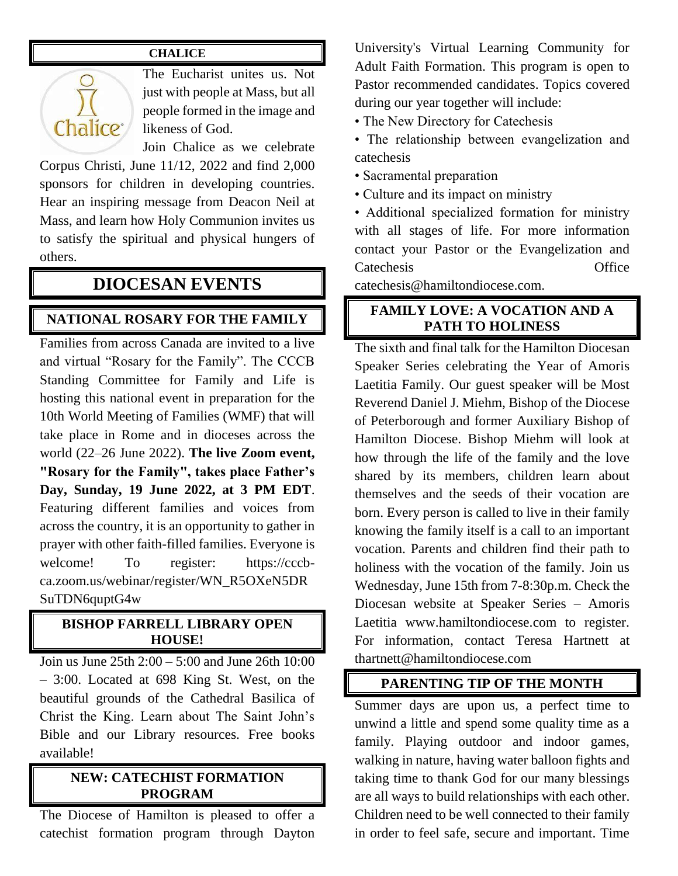## **CHALICE**



The Eucharist unites us. Not just with people at Mass, but all people formed in the image and likeness of God.

Join Chalice as we celebrate Corpus Christi, June 11/12, 2022 and find 2,000 sponsors for children in developing countries. Hear an inspiring message from Deacon Neil at Mass, and learn how Holy Communion invites us to satisfy the spiritual and physical hungers of others.

# **DIOCESAN EVENTS**

## **NATIONAL ROSARY FOR THE FAMILY**

Families from across Canada are invited to a live and virtual "Rosary for the Family". The CCCB Standing Committee for Family and Life is hosting this national event in preparation for the 10th World Meeting of Families (WMF) that will take place in Rome and in dioceses across the world (22–26 June 2022). **The live Zoom event, "Rosary for the Family", takes place Father's Day, Sunday, 19 June 2022, at 3 PM EDT**. Featuring different families and voices from across the country, it is an opportunity to gather in prayer with other faith-filled families. Everyone is welcome! To register: https://cccbca.zoom.us/webinar/register/WN\_R5OXeN5DR SuTDN6quptG4w

#### **BISHOP FARRELL LIBRARY OPEN HOUSE!**

Join us June 25th 2:00 – 5:00 and June 26th 10:00 – 3:00. Located at 698 King St. West, on the beautiful grounds of the Cathedral Basilica of Christ the King. Learn about The Saint John's Bible and our Library resources. Free books available!

#### **NEW: CATECHIST FORMATION PROGRAM**

The Diocese of Hamilton is pleased to offer a catechist formation program through Dayton

University's Virtual Learning Community for Adult Faith Formation. This program is open to Pastor recommended candidates. Topics covered during our year together will include:

• The New Directory for Catechesis

- The relationship between evangelization and catechesis
- Sacramental preparation
- Culture and its impact on ministry

• Additional specialized formation for ministry with all stages of life. For more information contact your Pastor or the Evangelization and Catechesis Office

catechesis@hamiltondiocese.com.

## **FAMILY LOVE: A VOCATION AND A PATH TO HOLINESS**

The sixth and final talk for the Hamilton Diocesan Speaker Series celebrating the Year of Amoris Laetitia Family. Our guest speaker will be Most Reverend Daniel J. Miehm, Bishop of the Diocese of Peterborough and former Auxiliary Bishop of Hamilton Diocese. Bishop Miehm will look at how through the life of the family and the love shared by its members, children learn about themselves and the seeds of their vocation are born. Every person is called to live in their family knowing the family itself is a call to an important vocation. Parents and children find their path to holiness with the vocation of the family. Join us Wednesday, June 15th from 7-8:30p.m. Check the Diocesan website at Speaker Series – Amoris Laetitia www.hamiltondiocese.com to register. For information, contact Teresa Hartnett at thartnett@hamiltondiocese.com

#### **PARENTING TIP OF THE MONTH**

Summer days are upon us, a perfect time to unwind a little and spend some quality time as a family. Playing outdoor and indoor games, walking in nature, having water balloon fights and taking time to thank God for our many blessings are all ways to build relationships with each other. Children need to be well connected to their family in order to feel safe, secure and important. Time